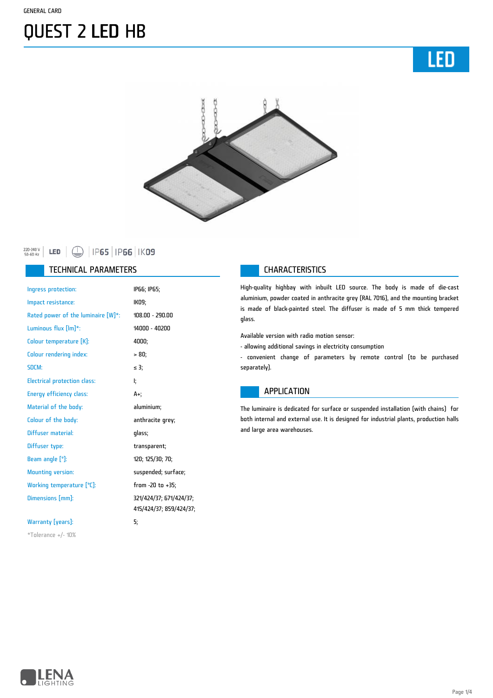# QUEST 2 LED HB





#### 220-240 V<br>50-60 Hz

#### TECHNICAL PARAMETERS **CHARACTERISTICS**

| Ingress protection:                 | IP66; IP65;             |
|-------------------------------------|-------------------------|
| Impact resistance:                  | IK09;                   |
| Rated power of the luminaire [W]*:  | 108.00 - 290.00         |
| Luminous flux $[Im]$ *:             | 14000 - 40200           |
| Colour temperature [K]:             | 4000;                   |
| <b>Colour rendering index:</b>      | > 80;                   |
| SDCM:                               | $\leq$ 3;               |
| <b>Electrical protection class:</b> | ŀ.                      |
| <b>Energy efficiency class:</b>     | A+;                     |
| Material of the body:               | aluminium;              |
| Colour of the body:                 | anthracite grey;        |
| Diffuser material:                  | qlass;                  |
| Diffuser type:                      | transparent;            |
| Beam angle $[°]$ :                  | 120; 125/30; 70;        |
| <b>Mounting version:</b>            | suspended; surface;     |
| Working temperature [°C]:           | from -20 to +35;        |
| Dimensions [mm]:                    | 321/424/37; 671/424/37; |
|                                     | 415/424/37; 859/424/37; |
| Warranty [years]:                   | 5;                      |
| $*$ Tolerance +/- 10%               |                         |

High-quality highbay with inbuilt LED source. The body is made of die-cast aluminium, powder coated in anthracite grey (RAL 7016), and the mounting bracket is made of black-painted steel. The diffuser is made of 5 mm thick tempered glass.

Available version with radio motion sensor:

- allowing additional savings in electricity consumption

- convenient change of parameters by remote control (to be purchased separately).

#### APPLICATION

The luminaire is dedicated for surface or suspended installation (with chains) for both internal and external use. It is designed for industrial plants, production halls and large area warehouses.

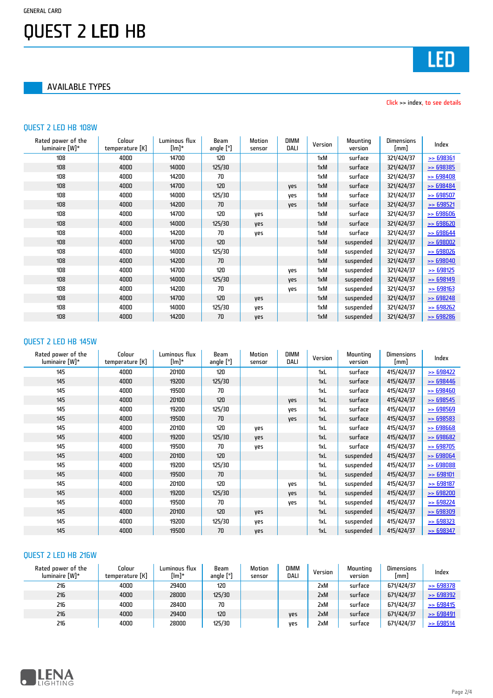### QUEST 2 LED HB

AVAILABLE TYPES

Click >> index, to see details

#### QUEST 2 LED HB 108W

| Rated power of the<br>luminaire [W]* | Colour<br>temperature [K] | Luminous flux<br>[lm]* | <b>Beam</b><br>angle [°] | Motion<br>sensor | <b>DIMM</b><br>DALI | Version | Mounting<br>version | Dimensions<br>[mm] | Index                |
|--------------------------------------|---------------------------|------------------------|--------------------------|------------------|---------------------|---------|---------------------|--------------------|----------------------|
| 108                                  | 4000                      | 14700                  | 120                      |                  |                     | 1xM     | surface             | 321/424/37         | > 698361             |
| 108                                  | 4000                      | 14000                  | 125/30                   |                  |                     | 1xM     | surface             | 321/424/37         | $\geq$ 698385        |
| 108                                  | 4000                      | 14200                  | 70                       |                  |                     | 1xM     | surface             | 321/424/37         | $\geq$ 698408        |
| 108                                  | 4000                      | 14700                  | 120                      |                  | <b>Ves</b>          | 1xM     | surface             | 321/424/37         | $\geq$ 698484        |
| 108                                  | 4000                      | 14000                  | 125/30                   |                  | yes                 | 1xM     | surface             | 321/424/37         | $\geq$ 698507        |
| 108                                  | 4000                      | 14200                  | 70                       |                  | yes                 | 1xM     | surface             | 321/424/37         | $\ge 698521$         |
| 108                                  | 4000                      | 14700                  | 120                      | yes              |                     | 1xM     | surface             | 321/424/37         | $\ge$ 698606         |
| 108                                  | 4000                      | 14000                  | 125/30                   | <b>Ves</b>       |                     | 1xM     | surface             | 321/424/37         | $\Rightarrow$ 698620 |
| 108                                  | 4000                      | 14200                  | 70                       | yes              |                     | 1xM     | surface             | 321/424/37         | $\ge$ 698644         |
| 108                                  | 4000                      | 14700                  | 120                      |                  |                     | 1xM     | suspended           | 321/424/37         | $\ge$ 698002         |
| 108                                  | 4000                      | 14000                  | 125/30                   |                  |                     | 1xM     | suspended           | 321/424/37         | $\Rightarrow$ 698026 |
| 108                                  | 4000                      | 14200                  | 70                       |                  |                     | 1xM     | suspended           | 321/424/37         | $\geq$ 698040        |
| 108                                  | 4000                      | 14700                  | 120                      |                  | yes                 | 1xM     | suspended           | 321/424/37         | $\ge$ 698125         |
| 108                                  | 4000                      | 14000                  | 125/30                   |                  | yes                 | 1xM     | suspended           | 321/424/37         | > 698149             |
| 108                                  | 4000                      | 14200                  | 70                       |                  | yes                 | 1xM     | suspended           | 321/424/37         | > 698163             |
| 108                                  | 4000                      | 14700                  | 120                      | <b>Ves</b>       |                     | 1xM     | suspended           | 321/424/37         | $\geq$ 698248        |
| 108                                  | 4000                      | 14000                  | 125/30                   | yes              |                     | 1xM     | suspended           | 321/424/37         | $\geq$ 698262        |
| 108                                  | 4000                      | 14200                  | 70                       | yes              |                     | 1xM     | suspended           | 321/424/37         | $\ge$ 698286         |

#### QUEST 2 LED HB 145W

| Rated power of the<br>luminaire [W]* | Colour<br>temperature [K] | Luminous flux<br>[lm]* | Beam<br>angle $[°]$ | Motion<br>sensor | <b>DIMM</b><br><b>DALI</b> | Version | Mounting<br>version | Dimensions<br>[mm] | Index         |
|--------------------------------------|---------------------------|------------------------|---------------------|------------------|----------------------------|---------|---------------------|--------------------|---------------|
| 145                                  | 4000                      | 20100                  | 120                 |                  |                            | 1xL     | surface             | 415/424/37         | $\ge$ 698422  |
| 145                                  | 4000                      | 19200                  | 125/30              |                  |                            | 1xL     | surface             | 415/424/37         | $\ge 698446$  |
| 145                                  | 4000                      | 19500                  | 70                  |                  |                            | 1xL     | surface             | 415/424/37         | $\ge$ 698460  |
| 145                                  | 4000                      | 20100                  | 120                 |                  | <b>Ves</b>                 | 1xL     | surface             | 415/424/37         | $\ge$ 698545  |
| 145                                  | 4000                      | 19200                  | 125/30              |                  | yes                        | 1xL     | surface             | 415/424/37         | > 698569      |
| 145                                  | 4000                      | 19500                  | 70                  |                  | <b>Ves</b>                 | 1xL     | surface             | 415/424/37         | $\ge 698583$  |
| 145                                  | 4000                      | 20100                  | 120                 | yes              |                            | 1xL     | surface             | 415/424/37         | $\geq$ 698668 |
| 145                                  | 4000                      | 19200                  | 125/30              | yes              |                            | 1xL     | surface             | 415/424/37         | $\ge$ 698682  |
| 145                                  | 4000                      | 19500                  | 70                  | yes              |                            | 1xL     | surface             | 415/424/37         | $\ge$ 698705  |
| 145                                  | 4000                      | 20100                  | 120                 |                  |                            | 1xL     | suspended           | 415/424/37         | $\ge$ 698064  |
| 145                                  | 4000                      | 19200                  | 125/30              |                  |                            | 1xL     | suspended           | 415/424/37         | > 698088      |
| 145                                  | 4000                      | 19500                  | 70                  |                  |                            | 1xL     | suspended           | 415/424/37         | > 698101      |
| 145                                  | 4000                      | 20100                  | 120                 |                  | yes                        | 1xL     | suspended           | 415/424/37         | $\ge$ 698187  |
| 145                                  | 4000                      | 19200                  | 125/30              |                  | <b>Ves</b>                 | 1xL     | suspended           | 415/424/37         | $\geq$ 698200 |
| 145                                  | 4000                      | 19500                  | 70                  |                  | yes                        | 1xL     | suspended           | 415/424/37         | $\geq$ 698224 |
| 145                                  | 4000                      | 20100                  | 120                 | yes              |                            | 1xL     | suspended           | 415/424/37         | > 698309      |
| 145                                  | 4000                      | 19200                  | 125/30              | yes              |                            | 1xL     | suspended           | 415/424/37         | $\geq$ 698323 |
| 145                                  | 4000                      | 19500                  | 70                  | yes              |                            | 1xL     | suspended           | 415/424/37         | $\ge$ 698347  |

### QUEST 2 LED HB 216W

| Rated power of the<br>luminaire [W]* | Colour<br>temperature [K] | Luminous flux<br>[lm]* | Beam<br>angle $[°]$ | Motion<br>sensor | <b>DIMM</b><br>DALI | Version | Mounting<br>version | <b>Dimensions</b><br>[mm] | Index        |
|--------------------------------------|---------------------------|------------------------|---------------------|------------------|---------------------|---------|---------------------|---------------------------|--------------|
| 216                                  | 4000                      | 29400                  | 120                 |                  |                     | 2xM     | surtace             | 671/424/37                | $\ge$ 698378 |
| 216                                  | 4000                      | 28000                  | 125/30              |                  |                     | 2xM     | surface             | 671/424/37                | $\ge 698392$ |
| 216                                  | 4000                      | 28400                  | 70                  |                  |                     | 2xM     | surtace             | 671/424/37                | $\ge$ 698415 |
| 216                                  | 4000                      | 29400                  | 120                 |                  | <b>Ves</b>          | 2xM     | surface             | 671/424/37                | $\ge 698491$ |
| 216                                  | 4000                      | 28000                  | 125/30              |                  | ves                 | 2xM     | surtace             | 671/424/37                | $\ge$ 698514 |

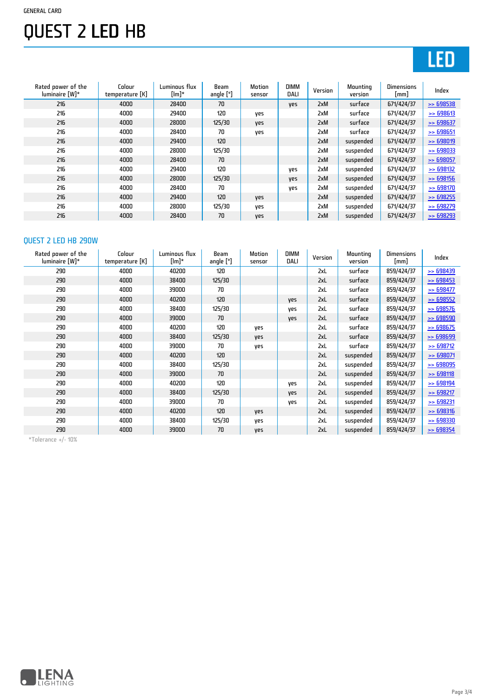#### GENERAL CARD

# QUEST 2 LED HB

## LED

| Rated power of the<br>luminaire [W]* | Colour<br>temperature [K] | Luminous flux<br>$[lm]^*$ | Beam<br>angle $[°]$ | Motion<br>sensor | <b>DIMM</b><br><b>DALI</b> | Version | Mounting<br>version | Dimensions<br>$\lceil mm \rceil$ | Index                |
|--------------------------------------|---------------------------|---------------------------|---------------------|------------------|----------------------------|---------|---------------------|----------------------------------|----------------------|
| 216                                  | 4000                      | 28400                     | 70                  |                  | <b>Ves</b>                 | 2xM     | surface             | 671/424/37                       | $\geq$ 698538        |
| 216                                  | 4000                      | 29400                     | 120                 | yes              |                            | 2xM     | surface             | 671/424/37                       | > 698613             |
| 216                                  | 4000                      | 28000                     | 125/30              | yes              |                            | 2xM     | surface             | 671/424/37                       | $\rightarrow$ 698637 |
| 216                                  | 4000                      | 28400                     | 70                  | yes              |                            | 2xM     | surface             | 671/424/37                       | $\ge$ 698651         |
| 216                                  | 4000                      | 29400                     | 120                 |                  |                            | 2xM     | suspended           | 671/424/37                       | > 698019             |
| 216                                  | 4000                      | 28000                     | 125/30              |                  |                            | 2xM     | suspended           | 671/424/37                       | $\rightarrow$ 698033 |
| 216                                  | 4000                      | 28400                     | 70                  |                  |                            | 2xM     | suspended           | 671/424/37                       | $\ge$ 698057         |
| 216                                  | 4000                      | 29400                     | 120                 |                  | yes                        | 2xM     | suspended           | 671/424/37                       | $\Rightarrow$ 698132 |
| 216                                  | 4000                      | 28000                     | 125/30              |                  | yes                        | 2xM     | suspended           | 671/424/37                       | $\ge$ 698156         |
| 216                                  | 4000                      | 28400                     | 70                  |                  | yes                        | 2xM     | suspended           | 671/424/37                       | $\ge$ 698170         |
| 216                                  | 4000                      | 29400                     | 120                 | yes              |                            | 2xM     | suspended           | 671/424/37                       | $\Rightarrow$ 698255 |
| 216                                  | 4000                      | 28000                     | 125/30              | ves              |                            | 2xM     | suspended           | 671/424/37                       | $\ge$ 698279         |
| 216                                  | 4000                      | 28400                     | 70                  | <b>Ves</b>       |                            | 2xM     | suspended           | 671/424/37                       | $\Rightarrow$ 698293 |

### QUEST 2 LED HB 290W

| Rated power of the<br>luminaire [W]* | Colour<br>temperature [K] | Luminous flux<br>[lm]* | <b>Beam</b><br>angle $[°]$ | Motion<br>sensor | <b>DIMM</b><br>DALI | Version | Mounting<br>version | <b>Dimensions</b><br>[mm] | Index         |
|--------------------------------------|---------------------------|------------------------|----------------------------|------------------|---------------------|---------|---------------------|---------------------------|---------------|
| 290                                  | 4000                      | 40200                  | 120                        |                  |                     | 2xL     | surface             | 859/424/37                | $\geq$ 698439 |
| 290                                  | 4000                      | 38400                  | 125/30                     |                  |                     | 2xL     | surface             | 859/424/37                | $\geq$ 698453 |
| 290                                  | 4000                      | 39000                  | 70                         |                  |                     | 2xL     | surface             | 859/424/37                | $\ge 698477$  |
| 290                                  | 4000                      | 40200                  | 120                        |                  | yes                 | 2xL     | surface             | 859/424/37                | $\ge 698552$  |
| 290                                  | 4000                      | 38400                  | 125/30                     |                  | yes                 | 2xL     | surface             | 859/424/37                | $\geq$ 698576 |
| 290                                  | 4000                      | 39000                  | 70                         |                  | yes                 | 2xL     | surface             | 859/424/37                | $\geq$ 698590 |
| 290                                  | 4000                      | 40200                  | 120                        | yes              |                     | 2xL     | surface             | 859/424/37                | $\geq$ 698675 |
| 290                                  | 4000                      | 38400                  | 125/30                     | yes              |                     | 2xL     | surface             | 859/424/37                | > 698699      |
| 290                                  | 4000                      | 39000                  | 70                         | yes              |                     | 2xL     | surface             | 859/424/37                | $\geq$ 698712 |
| 290                                  | 4000                      | 40200                  | 120                        |                  |                     | 2xL     | suspended           | 859/424/37                | $\ge$ 698071  |
| 290                                  | 4000                      | 38400                  | 125/30                     |                  |                     | 2xL     | suspended           | 859/424/37                | $\geq$ 698095 |
| 290                                  | 4000                      | 39000                  | 70                         |                  |                     | 2xL     | suspended           | 859/424/37                | > 698118      |
| 290                                  | 4000                      | 40200                  | 120                        |                  | yes                 | 2xL     | suspended           | 859/424/37                | $\ge 698194$  |
| 290                                  | 4000                      | 38400                  | 125/30                     |                  | <b>Ves</b>          | 2xL     | suspended           | 859/424/37                | $\ge 698217$  |
| 290                                  | 4000                      | 39000                  | 70                         |                  | yes                 | 2xL     | suspended           | 859/424/37                | $\ge$ 698231  |
| 290                                  | 4000                      | 40200                  | 120                        | yes              |                     | 2xL     | suspended           | 859/424/37                | > 698316      |
| 290                                  | 4000                      | 38400                  | 125/30                     | yes              |                     | 2xL     | suspended           | 859/424/37                | $\geq$ 698330 |
| 290                                  | 4000                      | 39000                  | 70                         | yes              |                     | 2xL     | suspended           | 859/424/37                | $\ge$ 698354  |

\*Tolerance +/- 10%